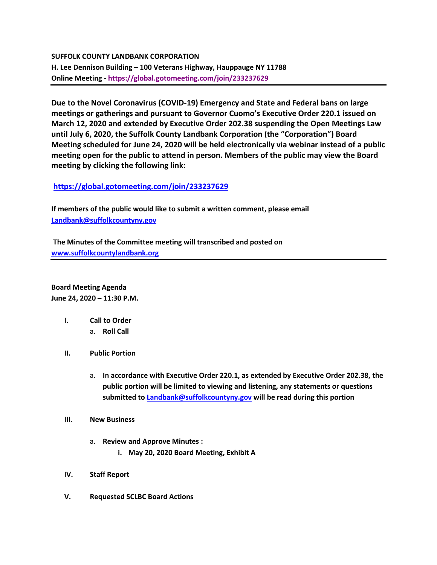## **SUFFOLK COUNTY LANDBANK CORPORATION**

**H. Lee Dennison Building – 100 Veterans Highway, Hauppauge NY 11788 Online Meeting - [https://global.gotomeeting.com/join/233237629](https://webmail.suffolkcountyny.gov/owa/redir.aspx?C=WexblcyZf5hKR0mGRJUhrRCdUsbksmh4ISSvJQRpWOOFm8KdexfYCA..&URL=https%3a%2f%2fglobal.gotomeeting.com%2fjoin%2f233237629)**

**Due to the Novel Coronavirus (COVID-19) Emergency and State and Federal bans on large meetings or gatherings and pursuant to Governor Cuomo's Executive Order 220.1 issued on March 12, 2020 and extended by Executive Order 202.38 suspending the Open Meetings Law until July 6, 2020, the Suffolk County Landbank Corporation (the "Corporation") Board Meeting scheduled for June 24, 2020 will be held electronically via webinar instead of a public meeting open for the public to attend in person. Members of the public may view the Board meeting by clicking the following link:**

## **<https://global.gotomeeting.com/join/233237629>**

**If members of the public would like to submit a written comment, please email [Landbank@suffolkcountyny.gov](mailto:Landbank@suffolkcountyny.gov)**

**The Minutes of the Committee meeting will transcribed and posted on [www.suffolkcountylandbank.org](http://www.suffolkcountylandbank.org/)**

**Board Meeting Agenda June 24, 2020 – 11:30 P.M.**

- **I. Call to Order** 
	- a. **Roll Call**
- **II. Public Portion** 
	- a. **In accordance with Executive Order 220.1, as extended by Executive Order 202.38, the public portion will be limited to viewing and listening, any statements or questions submitted t[o Landbank@suffolkcountyny.gov](mailto:Landbank@suffolkcountyny.gov) will be read during this portion**
- **III. New Business**
	- a. **Review and Approve Minutes :**
		- **i. May 20, 2020 Board Meeting, Exhibit A**
- **IV. Staff Report**
- **V. Requested SCLBC Board Actions**